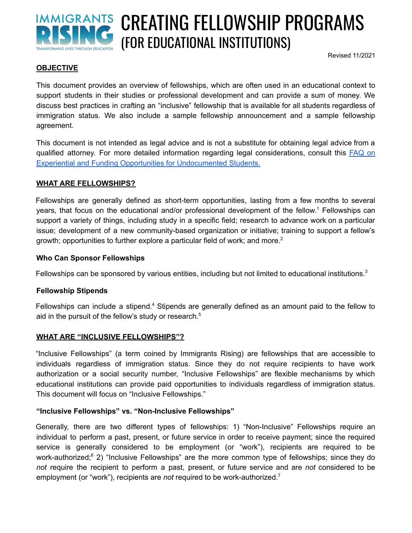

# CREATING FELLOWSHIP PROGRAMS (FOR EDUCATIONAL INSTITUTIONS)

Revised 11/2021

#### **OBJECTIVE**

This document provides an overview of fellowships, which are often used in an educational context to support students in their studies or professional development and can provide a sum of money. We discuss best practices in crafting an "inclusive" fellowship that is available for all students regardless of immigration status. We also include a sample fellowship announcement and a sample fellowship agreement.

This document is not intended as legal advice and is not a substitute for obtaining legal advice from a qualified attorney. For more detailed information regarding legal considerations, consult this [FAQ](https://www.higheredimmigrationportal.org/effective_practice/faq-on-experiential-and-funding-opportunities-for-undocumented-students/) on Experiential and Funding Opportunities for [Undocumented](https://www.higheredimmigrationportal.org/effective_practice/faq-on-experiential-and-funding-opportunities-for-undocumented-students/) Students.

#### **WHAT ARE FELLOWSHIPS?**

Fellowships are generally defined as short-term opportunities, lasting from a few months to several years, that focus on the educational and/or professional development of the fellow. <sup>1</sup> Fellowships can support a variety of things, including study in a specific field; research to advance work on a particular issue; development of a new community-based organization or initiative; training to support a fellow's growth; opportunities to further explore a particular field of work; and more. 2

#### **Who Can Sponsor Fellowships**

Fellowships can be sponsored by various entities, including but not limited to educational institutions.<sup>3</sup>

#### **Fellowship Stipends**

Fellowships can include a stipend.<sup>4</sup> Stipends are generally defined as an amount paid to the fellow to aid in the pursuit of the fellow's study or research. 5

#### **WHAT ARE "INCLUSIVE FELLOWSHIPS"?**

"Inclusive Fellowships" (a term coined by Immigrants Rising) are fellowships that are accessible to individuals regardless of immigration status. Since they do not require recipients to have work authorization or a social security number, "Inclusive Fellowships" are flexible mechanisms by which educational institutions can provide paid opportunities to individuals regardless of immigration status. This document will focus on "Inclusive Fellowships."

#### **"Inclusive Fellowships" vs. "Non-Inclusive Fellowships"**

Generally, there are two different types of fellowships: 1) "Non-Inclusive" Fellowships require an individual to perform a past, present, or future service in order to receive payment; since the required service is generally considered to be employment (or "work"), recipients are required to be work-authorized;<sup>6</sup> 2) "Inclusive Fellowships" are the more common type of fellowships; since they do *not* require the recipient to perform a past, present, or future service and are *not* considered to be employment (or "work"), recipients are *not* required to be work-authorized.<sup>7</sup>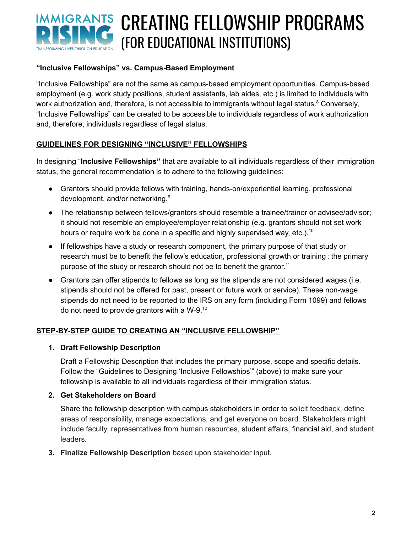# IMMIGRANTS CREATING FELLOWSHIP PROGRAMS (FOR EDUCATIONAL INSTITUTIONS) **TRANSFORMING LIVES THROUGH EDUCATION**

### **"Inclusive Fellowships" vs. Campus-Based Employment**

"Inclusive Fellowships" are not the same as campus-based employment opportunities. Campus-based employment (e.g. work study positions, student assistants, lab aides, etc.) is limited to individuals with work authorization and, therefore, is not accessible to immigrants without legal status.<sup>8</sup> Conversely, "Inclusive Fellowships" can be created to be accessible to individuals regardless of work authorization and, therefore, individuals regardless of legal status.

### **GUIDELINES FOR DESIGNING "INCLUSIVE" FELLOWSHIPS**

In designing "**Inclusive Fellowships"** that are available to all individuals regardless of their immigration status, the general recommendation is to adhere to the following guidelines:

- Grantors should provide fellows with training, hands-on/experiential learning, professional development, and/or networking. 9
- The relationship between fellows/grantors should resemble a trainee/trainor or advisee/advisor; it should not resemble an employee/employer relationship (e.g. grantors should not set work hours or require work be done in a specific and highly supervised way, etc.).<sup>10</sup>
- If fellowships have a study or research component, the primary purpose of that study or research must be to benefit the fellow's education, professional growth or training ; the primary purpose of the study or research should not be to benefit the grantor.<sup>11</sup>
- Grantors can offer stipends to fellows as long as the stipends are not considered wages (i.e. stipends should not be offered for past, present or future work or service). These non-wage stipends do not need to be reported to the IRS on any form (including Form 1099) and fellows do not need to provide grantors with a W-9. 12

# **STEP-BY-STEP GUIDE TO CREATING AN "INCLUSIVE FELLOWSHIP"**

#### **1. Draft Fellowship Description**

Draft a Fellowship Description that includes the primary purpose, scope and specific details. Follow the "Guidelines to Designing 'Inclusive Fellowships'" (above) to make sure your fellowship is available to all individuals regardless of their immigration status.

#### **2. Get Stakeholders on Board**

Share the fellowship description with campus stakeholders in order to solicit feedback, define areas of responsibility, manage expectations, and get everyone on board. Stakeholders might include faculty, representatives from human resources, student affairs, financial aid, and student leaders.

**3. Finalize Fellowship Description** based upon stakeholder input.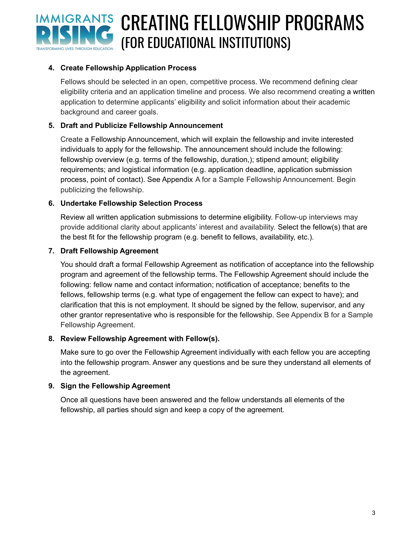

### **4. Create Fellowship Application Process**

Fellows should be selected in an open, competitive process. We recommend defining clear eligibility criteria and an application timeline and process. We also recommend creating a written application to determine applicants' eligibility and solicit information about their academic background and career goals.

### **5. Draft and Publicize Fellowship Announcement**

Create a Fellowship Announcement, which will explain the fellowship and invite interested individuals to apply for the fellowship. The announcement should include the following: fellowship overview (e.g. terms of the fellowship, duration,); stipend amount; eligibility requirements; and logistical information (e.g. application deadline, application submission process, point of contact). See Appendix A for a Sample Fellowship Announcement. Begin publicizing the fellowship.

#### **6. Undertake Fellowship Selection Process**

Review all written application submissions to determine eligibility. Follow-up interviews may provide additional clarity about applicants' interest and availability. Select the fellow(s) that are the best fit for the fellowship program (e.g. benefit to fellows, availability, etc.).

#### **7. Draft Fellowship Agreement**

You should draft a formal Fellowship Agreement as notification of acceptance into the fellowship program and agreement of the fellowship terms. The Fellowship Agreement should include the following: fellow name and contact information; notification of acceptance; benefits to the fellows, fellowship terms (e.g. what type of engagement the fellow can expect to have); and clarification that this is not employment. It should be signed by the fellow, supervisor, and any other grantor representative who is responsible for the fellowship. See Appendix B for a Sample Fellowship Agreement.

#### **8. Review Fellowship Agreement with Fellow(s).**

Make sure to go over the Fellowship Agreement individually with each fellow you are accepting into the fellowship program. Answer any questions and be sure they understand all elements of the agreement.

#### **9. Sign the Fellowship Agreement**

Once all questions have been answered and the fellow understands all elements of the fellowship, all parties should sign and keep a copy of the agreement.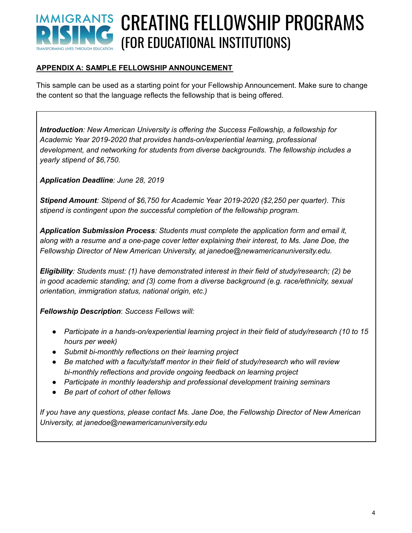# IMMIGRANTS CREATING FELLOWSHIP PROGRAMS (FOR EDUCATIONAL INSTITUTIONS)

# **APPENDIX A: SAMPLE FELLOWSHIP ANNOUNCEMENT**

This sample can be used as a starting point for your Fellowship Announcement. Make sure to change the content so that the language reflects the fellowship that is being offered.

*Introduction: New American University is offering the Success Fellowship, a fellowship for Academic Year 2019-2020 that provides hands-on/experiential learning, professional development, and networking for students from diverse backgrounds. The fellowship includes a yearly stipend of \$6,750.*

*Application Deadline: June 28, 2019*

*Stipend Amount: Stipend of \$6,750 for Academic Year 2019-2020 (\$2,250 per quarter). This stipend is contingent upon the successful completion of the fellowship program.*

*Application Submission Process: Students must complete the application form and email it, along with a resume and a one-page cover letter explaining their interest, to Ms. Jane Doe, the Fellowship Director of New American University, at janedoe@newamericanuniversity.edu.*

*Eligibility: Students must: (1) have demonstrated interest in their field of study/research; (2) be in good academic standing; and (3) come from a diverse background (e.g. race/ethnicity, sexual orientation, immigration status, national origin, etc.)*

*Fellowship Description*: *Success Fellows will:*

- *● Participate in a hands-on/experiential learning project in their field of study/research (10 to 15 hours per week)*
- *● Submit bi-monthly reflections on their learning project*
- *● Be matched with a faculty/staff mentor in their field of study/research who will review bi-monthly reflections and provide ongoing feedback on learning project*
- *● Participate in monthly leadership and professional development training seminars*
- *● Be part of cohort of other fellows*

*If you have any questions, please contact Ms. Jane Doe, the Fellowship Director of New American University, at janedoe@newamericanuniversity.edu*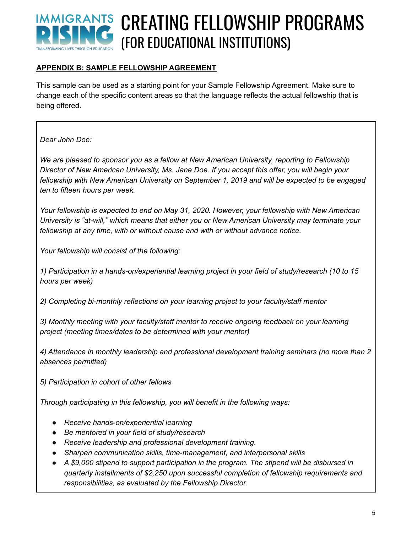# IMMIGRANTS CREATING FELLOWSHIP PROGRAMS (FOR EDUCATIONAL INSTITUTIONS)

# **APPENDIX B: SAMPLE FELLOWSHIP AGREEMENT**

This sample can be used as a starting point for your Sample Fellowship Agreement. Make sure to change each of the specific content areas so that the language reflects the actual fellowship that is being offered.

*Dear John Doe:*

*We are pleased to sponsor you as a fellow at New American University, reporting to Fellowship Director of New American University, Ms. Jane Doe. If you accept this offer, you will begin your fellowship with New American University on September 1, 2019 and will be expected to be engaged ten to fifteen hours per week.*

*Your fellowship is expected to end on May 31, 2020. However, your fellowship with New American University is "at-will," which means that either you or New American University may terminate your fellowship at any time, with or without cause and with or without advance notice.*

*Your fellowship will consist of the following:*

*1) Participation in a hands-on/experiential learning project in your field of study/research (10 to 15 hours per week)*

*2) Completing bi-monthly reflections on your learning project to your faculty/staff mentor*

*3) Monthly meeting with your faculty/staff mentor to receive ongoing feedback on your learning project (meeting times/dates to be determined with your mentor)*

*4) Attendance in monthly leadership and professional development training seminars (no more than 2 absences permitted)*

*5) Participation in cohort of other fellows*

*Through participating in this fellowship, you will benefit in the following ways:*

- *● Receive hands-on/experiential learning*
- *● Be mentored in your field of study/research*
- *● Receive leadership and professional development training.*
- *● Sharpen communication skills, time-management, and interpersonal skills*
- *● A \$9,000 stipend to support participation in the program. The stipend will be disbursed in quarterly installments of \$2,250 upon successful completion of fellowship requirements and responsibilities, as evaluated by the Fellowship Director.*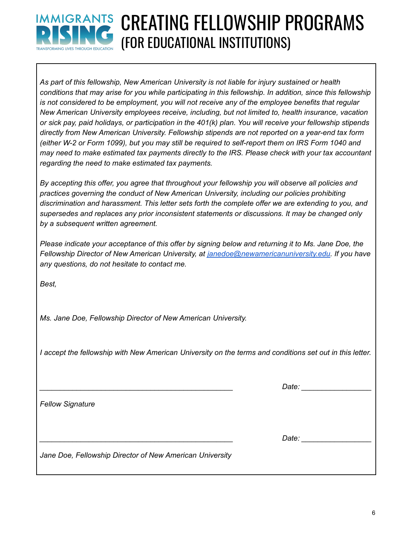

# IMMIGRANTS CREATING FELLOWSHIP PROGRAMS (FOR EDUCATIONAL INSTITUTIONS)

*As part of this fellowship, New American University is not liable for injury sustained or health conditions that may arise for you while participating in this fellowship. In addition, since this fellowship is not considered to be employment, you will not receive any of the employee benefits that regular New American University employees receive, including, but not limited to, health insurance, vacation* or sick pay, paid holidays, or participation in the 401(k) plan. You will receive your fellowship stipends *directly from New American University. Fellowship stipends are not reported on a year-end tax form* (either W-2 or Form 1099), but you may still be required to self-report them on IRS Form 1040 and *may need to make estimated tax payments directly to the IRS. Please check with your tax accountant regarding the need to make estimated tax payments.*

*By accepting this offer, you agree that throughout your fellowship you will observe all policies and practices governing the conduct of New American University, including our policies prohibiting discrimination and harassment. This letter sets forth the complete offer we are extending to you, and supersedes and replaces any prior inconsistent statements or discussions. It may be changed only by a subsequent written agreement.*

Please indicate your acceptance of this offer by signing below and returning it to Ms. Jane Doe, the *Fellowship Director of New American University, at [janedoe@newamericanuniversity.edu.](mailto:janedoe@newamericanuniversity.edu) If you have any questions, do not hesitate to contact me.*

*Best,*

*Ms. Jane Doe, Fellowship Director of New American University.*

I accept the fellowship with New American University on the terms and conditions set out in this letter.

*\_\_\_\_\_\_\_\_\_\_\_\_\_\_\_\_\_\_\_\_\_\_\_\_\_\_\_\_\_\_\_\_\_\_\_\_\_\_\_\_\_\_\_\_\_\_\_ Date: \_\_\_\_\_\_\_\_\_\_\_\_\_\_\_\_\_*

*Fellow Signature*

*\_\_\_\_\_\_\_\_\_\_\_\_\_\_\_\_\_\_\_\_\_\_\_\_\_\_\_\_\_\_\_\_\_\_\_\_\_\_\_\_\_\_\_\_\_\_\_ Date: \_\_\_\_\_\_\_\_\_\_\_\_\_\_\_\_\_*

*Jane Doe, Fellowship Director of New American University*